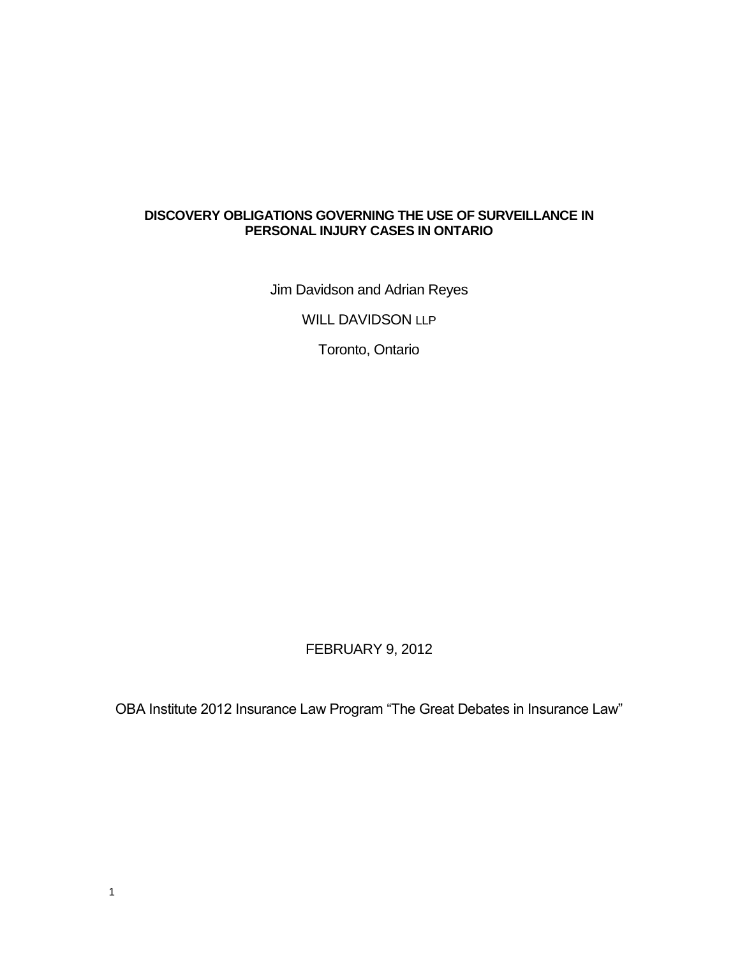### **DISCOVERY OBLIGATIONS GOVERNING THE USE OF SURVEILLANCE IN PERSONAL INJURY CASES IN ONTARIO**

Jim Davidson and Adrian Reyes

WILL DAVIDSON LLP

Toronto, Ontario

# FEBRUARY 9, 2012

OBA Institute 2012 Insurance Law Program "The Great Debates in Insurance Law"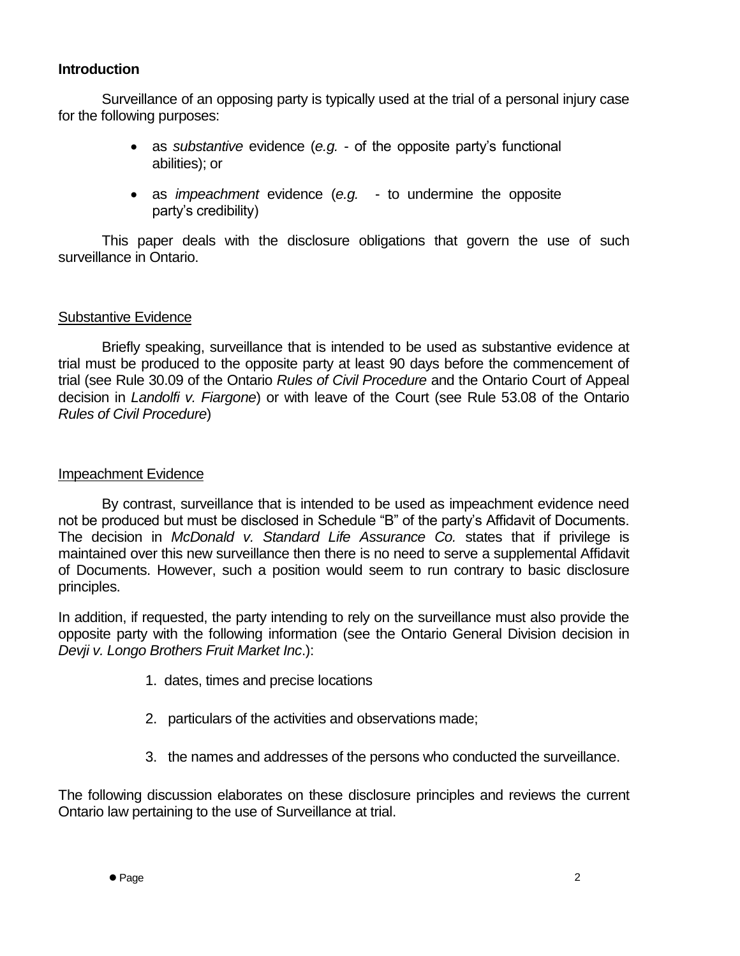### **Introduction**

Surveillance of an opposing party is typically used at the trial of a personal injury case for the following purposes:

- as *substantive* evidence (*e.g.* of the opposite party's functional abilities); or
- as *impeachment* evidence (*e.g.* to undermine the opposite party's credibility)

This paper deals with the disclosure obligations that govern the use of such surveillance in Ontario.

# Substantive Evidence

Briefly speaking, surveillance that is intended to be used as substantive evidence at trial must be produced to the opposite party at least 90 days before the commencement of trial (see Rule 30.09 of the Ontario *Rules of Civil Procedure* and the Ontario Court of Appeal decision in *Landolfi v. Fiargone*) or with leave of the Court (see Rule 53.08 of the Ontario *Rules of Civil Procedure*)

### Impeachment Evidence

By contrast, surveillance that is intended to be used as impeachment evidence need not be produced but must be disclosed in Schedule "B" of the party's Affidavit of Documents. The decision in *McDonald v. Standard Life Assurance Co.* states that if privilege is maintained over this new surveillance then there is no need to serve a supplemental Affidavit of Documents. However, such a position would seem to run contrary to basic disclosure principles.

In addition, if requested, the party intending to rely on the surveillance must also provide the opposite party with the following information (see the Ontario General Division decision in *Devji v. Longo Brothers Fruit Market Inc*.):

- 1. dates, times and precise locations
- 2. particulars of the activities and observations made;
- 3. the names and addresses of the persons who conducted the surveillance.

The following discussion elaborates on these disclosure principles and reviews the current Ontario law pertaining to the use of Surveillance at trial.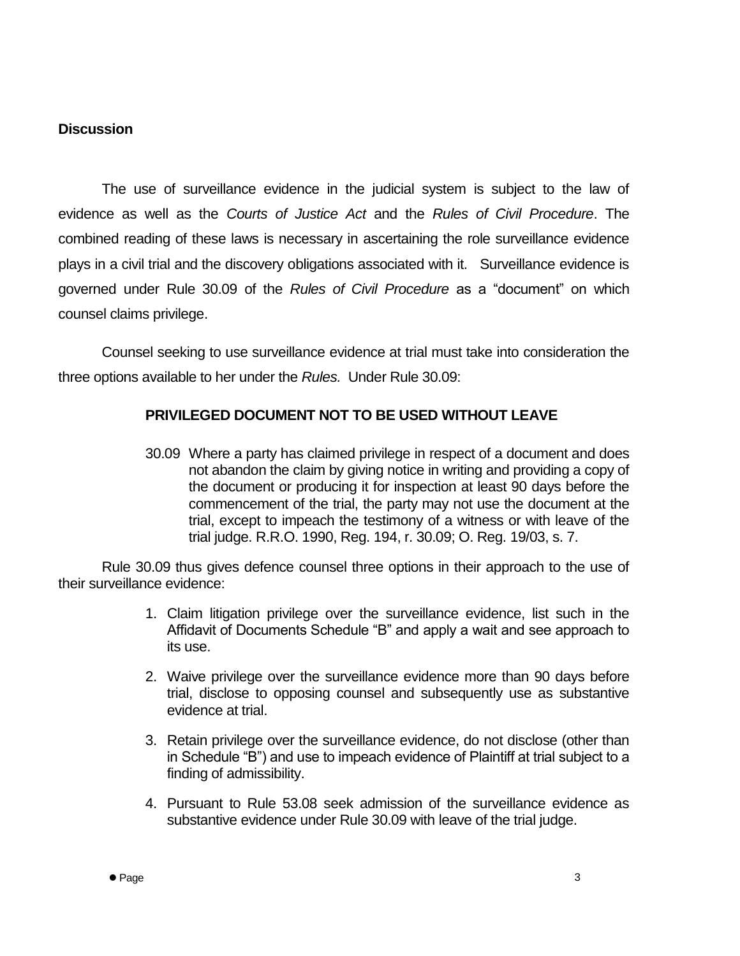### **Discussion**

The use of surveillance evidence in the judicial system is subject to the law of evidence as well as the *Courts of Justice Act* and the *Rules of Civil Procedure*. The combined reading of these laws is necessary in ascertaining the role surveillance evidence plays in a civil trial and the discovery obligations associated with it. Surveillance evidence is governed under Rule 30.09 of the *Rules of Civil Procedure* as a "document" on which counsel claims privilege.

Counsel seeking to use surveillance evidence at trial must take into consideration the three options available to her under the *Rules.* Under Rule 30.09:

### **PRIVILEGED DOCUMENT NOT TO BE USED WITHOUT LEAVE**

30.09 Where a party has claimed privilege in respect of a document and does not abandon the claim by giving notice in writing and providing a copy of the document or producing it for inspection at least 90 days before the commencement of the trial, the party may not use the document at the trial, except to impeach the testimony of a witness or with leave of the trial judge. R.R.O. 1990, Reg. 194, r. 30.09; O. Reg. 19/03, s. 7.

Rule 30.09 thus gives defence counsel three options in their approach to the use of their surveillance evidence:

- 1. Claim litigation privilege over the surveillance evidence, list such in the Affidavit of Documents Schedule "B" and apply a wait and see approach to its use.
- 2. Waive privilege over the surveillance evidence more than 90 days before trial, disclose to opposing counsel and subsequently use as substantive evidence at trial.
- 3. Retain privilege over the surveillance evidence, do not disclose (other than in Schedule "B") and use to impeach evidence of Plaintiff at trial subject to a finding of admissibility.
- 4. Pursuant to Rule 53.08 seek admission of the surveillance evidence as substantive evidence under Rule 30.09 with leave of the trial judge.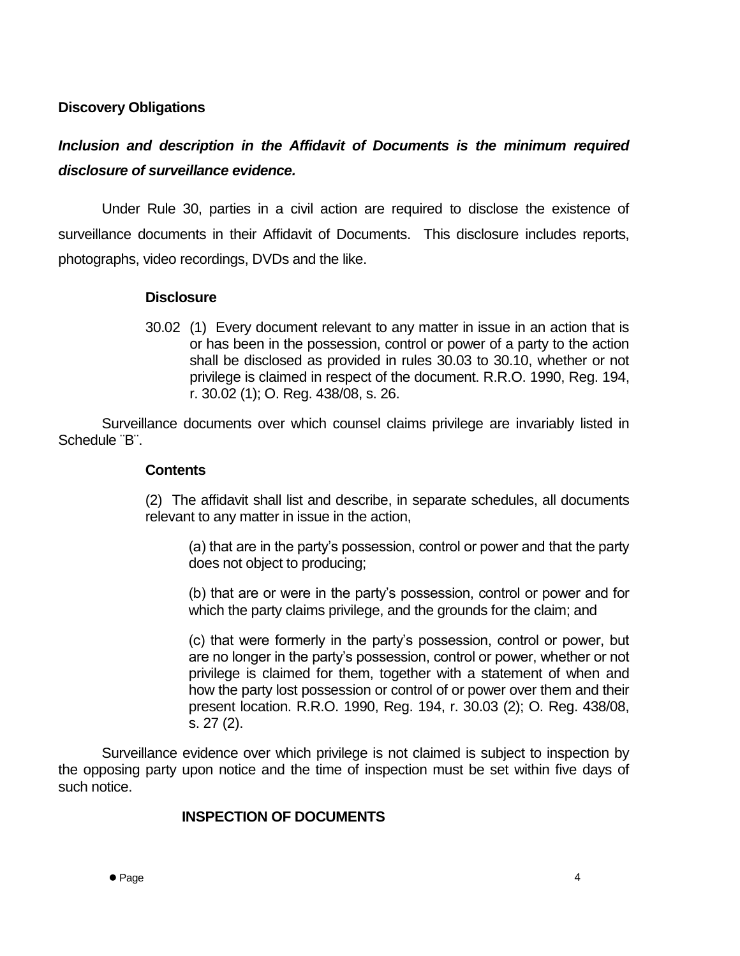### **Discovery Obligations**

# *Inclusion and description in the Affidavit of Documents is the minimum required disclosure of surveillance evidence.*

Under Rule 30, parties in a civil action are required to disclose the existence of surveillance documents in their Affidavit of Documents. This disclosure includes reports, photographs, video recordings, DVDs and the like.

### **Disclosure**

30.02 (1) Every document relevant to any matter in issue in an action that is or has been in the possession, control or power of a party to the action shall be disclosed as provided in rules 30.03 to 30.10, whether or not privilege is claimed in respect of the document. R.R.O. 1990, Reg. 194, r. 30.02 (1); O. Reg. 438/08, s. 26.

Surveillance documents over which counsel claims privilege are invariably listed in Schedule ¨B¨.

#### **Contents**

(2) The affidavit shall list and describe, in separate schedules, all documents relevant to any matter in issue in the action,

(a) that are in the party's possession, control or power and that the party does not object to producing;

(b) that are or were in the party's possession, control or power and for which the party claims privilege, and the grounds for the claim; and

(c) that were formerly in the party's possession, control or power, but are no longer in the party's possession, control or power, whether or not privilege is claimed for them, together with a statement of when and how the party lost possession or control of or power over them and their present location. R.R.O. 1990, Reg. 194, r. 30.03 (2); O. Reg. 438/08, s. 27 (2).

Surveillance evidence over which privilege is not claimed is subject to inspection by the opposing party upon notice and the time of inspection must be set within five days of such notice.

### **INSPECTION OF DOCUMENTS**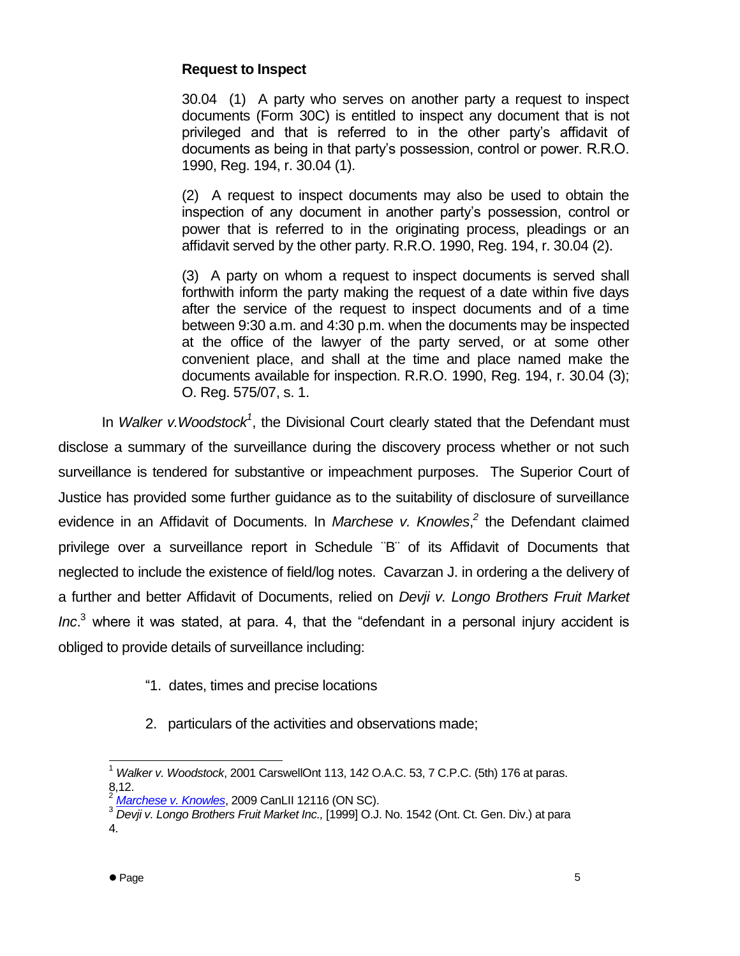# **Request to Inspect**

30.04 (1) A party who serves on another party a request to inspect documents (Form 30C) is entitled to inspect any document that is not privileged and that is referred to in the other party's affidavit of documents as being in that party's possession, control or power. R.R.O. 1990, Reg. 194, r. 30.04 (1).

(2) A request to inspect documents may also be used to obtain the inspection of any document in another party's possession, control or power that is referred to in the originating process, pleadings or an affidavit served by the other party. R.R.O. 1990, Reg. 194, r. 30.04 (2).

(3) A party on whom a request to inspect documents is served shall forthwith inform the party making the request of a date within five days after the service of the request to inspect documents and of a time between 9:30 a.m. and 4:30 p.m. when the documents may be inspected at the office of the lawyer of the party served, or at some other convenient place, and shall at the time and place named make the documents available for inspection. R.R.O. 1990, Reg. 194, r. 30.04 (3); O. Reg. 575/07, s. 1.

In *Walker v. Woodstock<sup>1</sup>*, the Divisional Court clearly stated that the Defendant must disclose a summary of the surveillance during the discovery process whether or not such surveillance is tendered for substantive or impeachment purposes. The Superior Court of Justice has provided some further guidance as to the suitability of disclosure of surveillance evidence in an Affidavit of Documents. In *Marchese v. Knowles*,<sup>2</sup> the Defendant claimed privilege over a surveillance report in Schedule ¨B¨ of its Affidavit of Documents that neglected to include the existence of field/log notes. Cavarzan J. in ordering a the delivery of a further and better Affidavit of Documents, relied on *Devji v. Longo Brothers Fruit Market Inc*. <sup>3</sup> where it was stated, at para. 4, that the "defendant in a personal injury accident is obliged to provide details of surveillance including:

- "1. dates, times and precise locations
- 2. particulars of the activities and observations made;

j <sup>1</sup> *Walker v. Woodstock*, 2001 CarswellOnt 113, 142 O.A.C. 53, 7 C.P.C. (5th) 176 at paras. 8,12.

<sup>2</sup> *Marchese [v. Knowles](http://www.canlii.org/eliisa/highlight.do?text=surveillance%2C+description%2C+disclosure&language=en&searchTitle=Ontario&path=/en/on/onsc/doc/2009/2009canlii12116/2009canlii12116.html)*, 2009 CanLII 12116 (ON SC).

<sup>3</sup> *Devji v. Longo Brothers Fruit Market Inc.,* [1999] O.J. No. 1542 (Ont. Ct. Gen. Div.) at para 4.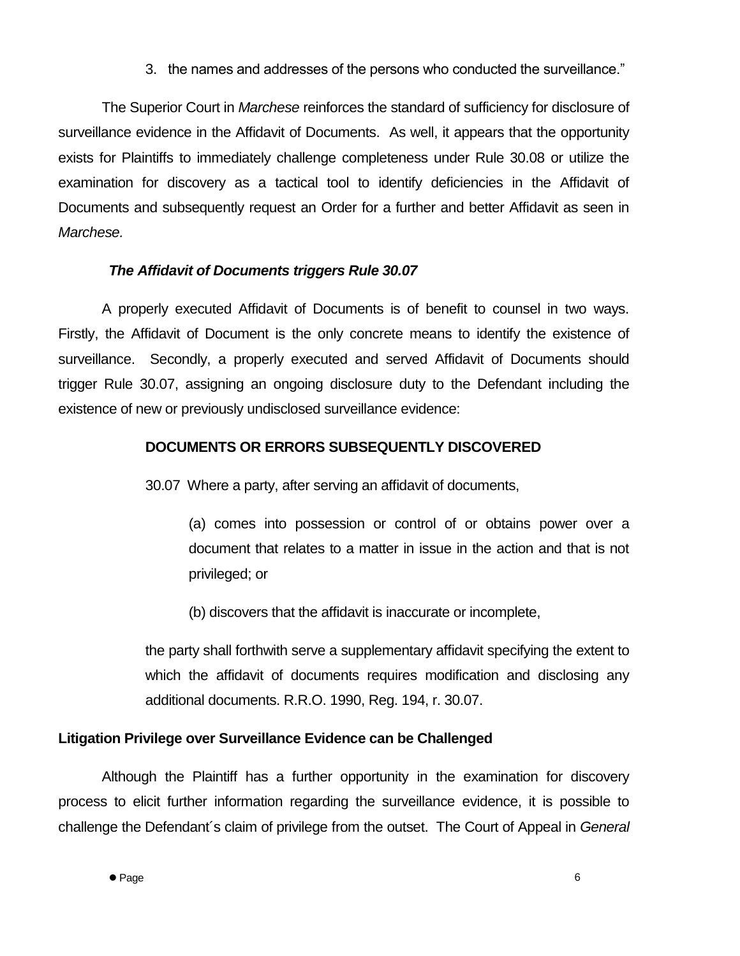3. the names and addresses of the persons who conducted the surveillance."

The Superior Court in *Marchese* reinforces the standard of sufficiency for disclosure of surveillance evidence in the Affidavit of Documents. As well, it appears that the opportunity exists for Plaintiffs to immediately challenge completeness under Rule 30.08 or utilize the examination for discovery as a tactical tool to identify deficiencies in the Affidavit of Documents and subsequently request an Order for a further and better Affidavit as seen in *Marchese.*

# *The Affidavit of Documents triggers Rule 30.07*

A properly executed Affidavit of Documents is of benefit to counsel in two ways. Firstly, the Affidavit of Document is the only concrete means to identify the existence of surveillance. Secondly, a properly executed and served Affidavit of Documents should trigger Rule 30.07, assigning an ongoing disclosure duty to the Defendant including the existence of new or previously undisclosed surveillance evidence:

### **DOCUMENTS OR ERRORS SUBSEQUENTLY DISCOVERED**

30.07 Where a party, after serving an affidavit of documents,

(a) comes into possession or control of or obtains power over a document that relates to a matter in issue in the action and that is not privileged; or

(b) discovers that the affidavit is inaccurate or incomplete,

the party shall forthwith serve a supplementary affidavit specifying the extent to which the affidavit of documents requires modification and disclosing any additional documents. R.R.O. 1990, Reg. 194, r. 30.07.

# **Litigation Privilege over Surveillance Evidence can be Challenged**

Although the Plaintiff has a further opportunity in the examination for discovery process to elicit further information regarding the surveillance evidence, it is possible to challenge the Defendant´s claim of privilege from the outset. The Court of Appeal in *General*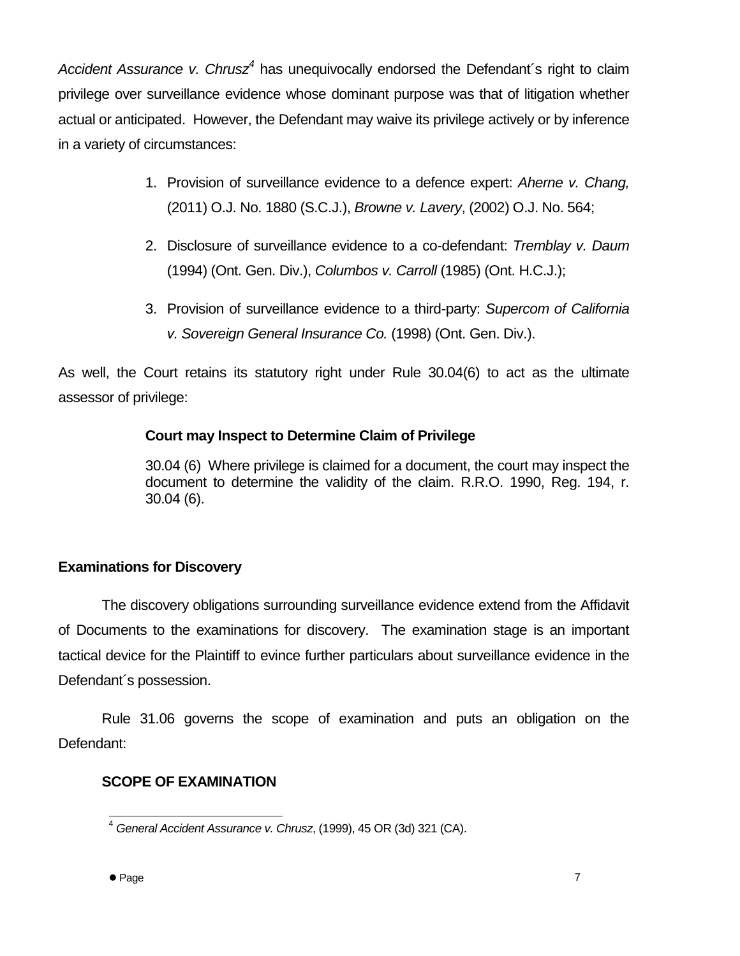*Accident Assurance v. Chrusz<sup>4</sup>* has unequivocally endorsed the Defendant´s right to claim privilege over surveillance evidence whose dominant purpose was that of litigation whether actual or anticipated. However, the Defendant may waive its privilege actively or by inference in a variety of circumstances:

- 1. Provision of surveillance evidence to a defence expert: *Aherne v. Chang,*  (2011) O.J. No. 1880 (S.C.J.), *Browne v. Lavery*, (2002) O.J. No. 564;
- 2. Disclosure of surveillance evidence to a co-defendant: *Tremblay v. Daum*  (1994) (Ont. Gen. Div.), *Columbos v. Carroll* (1985) (Ont. H.C.J.);
- 3. Provision of surveillance evidence to a third-party: *Supercom of California v. Sovereign General Insurance Co.* (1998) (Ont. Gen. Div.).

As well, the Court retains its statutory right under Rule 30.04(6) to act as the ultimate assessor of privilege:

### **Court may Inspect to Determine Claim of Privilege**

30.04 (6) Where privilege is claimed for a document, the court may inspect the document to determine the validity of the claim. R.R.O. 1990, Reg. 194, r. 30.04 (6).

# **Examinations for Discovery**

The discovery obligations surrounding surveillance evidence extend from the Affidavit of Documents to the examinations for discovery. The examination stage is an important tactical device for the Plaintiff to evince further particulars about surveillance evidence in the Defendant´s possession.

Rule 31.06 governs the scope of examination and puts an obligation on the Defendant:

### **SCOPE OF EXAMINATION**

l <sup>4</sup> *General Accident Assurance v. Chrusz*, (1999), 45 OR (3d) 321 (CA).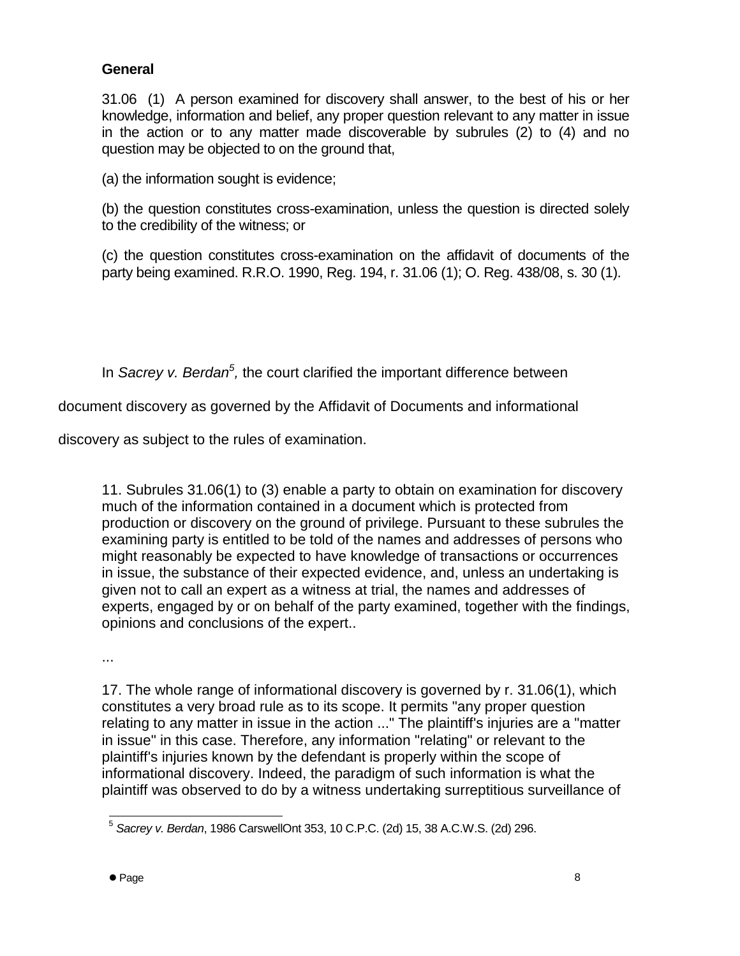# **General**

31.06 (1) A person examined for discovery shall answer, to the best of his or her knowledge, information and belief, any proper question relevant to any matter in issue in the action or to any matter made discoverable by subrules (2) to (4) and no question may be objected to on the ground that,

(a) the information sought is evidence;

(b) the question constitutes cross-examination, unless the question is directed solely to the credibility of the witness; or

(c) the question constitutes cross-examination on the affidavit of documents of the party being examined. R.R.O. 1990, Reg. 194, r. 31.06 (1); O. Reg. 438/08, s. 30 (1).

In *Sacrey v. Berdan<sup>5</sup>*, the court clarified the important difference between

document discovery as governed by the Affidavit of Documents and informational

discovery as subject to the rules of examination.

11. Subrules 31.06(1) to (3) enable a party to obtain on examination for discovery much of the information contained in a document which is protected from production or discovery on the ground of privilege. Pursuant to these subrules the examining party is entitled to be told of the names and addresses of persons who might reasonably be expected to have knowledge of transactions or occurrences in issue, the substance of their expected evidence, and, unless an undertaking is given not to call an expert as a witness at trial, the names and addresses of experts, engaged by or on behalf of the party examined, together with the findings, opinions and conclusions of the expert..

...

17. The whole range of informational discovery is governed by r. 31.06(1), which constitutes a very broad rule as to its scope. It permits "any proper question relating to any matter in issue in the action ..." The plaintiff's injuries are a "matter in issue" in this case. Therefore, any information "relating" or relevant to the plaintiff's injuries known by the defendant is properly within the scope of informational discovery. Indeed, the paradigm of such information is what the plaintiff was observed to do by a witness undertaking surreptitious surveillance of

 5 *Sacrey v. Berdan*, 1986 CarswellOnt 353, 10 C.P.C. (2d) 15, 38 A.C.W.S. (2d) 296.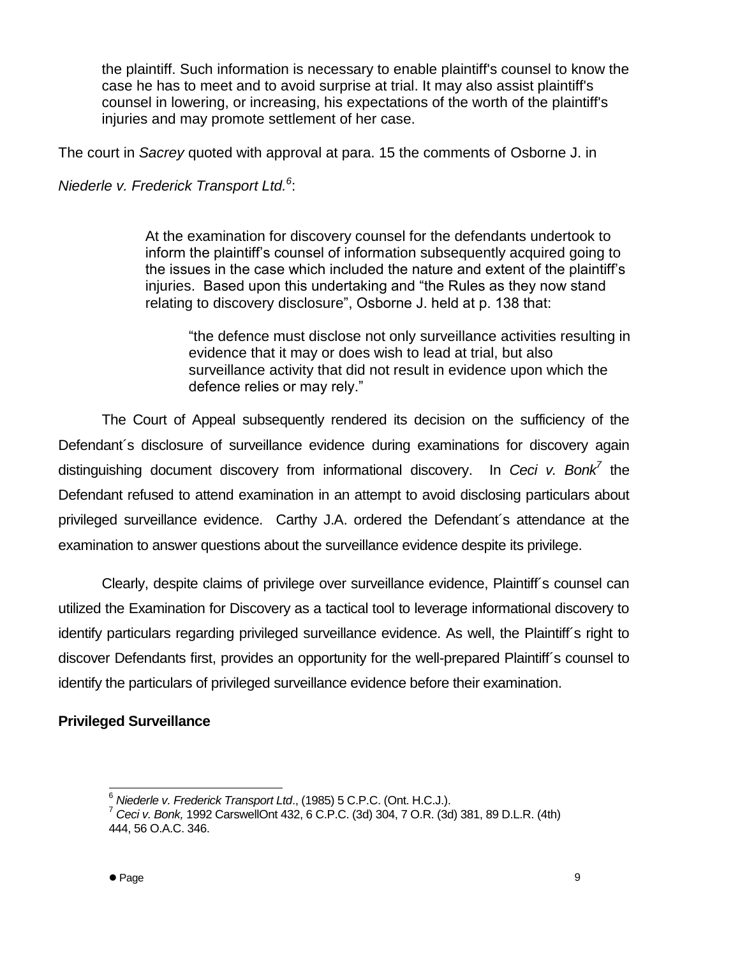the plaintiff. Such information is necessary to enable plaintiff's counsel to know the case he has to meet and to avoid surprise at trial. It may also assist plaintiff's counsel in lowering, or increasing, his expectations of the worth of the plaintiff's injuries and may promote settlement of her case.

The court in *Sacrey* quoted with approval at para. 15 the comments of Osborne J. in

*Niederle v. Frederick Transport Ltd.<sup>6</sup>* :

At the examination for discovery counsel for the defendants undertook to inform the plaintiff's counsel of information subsequently acquired going to the issues in the case which included the nature and extent of the plaintiff's injuries. Based upon this undertaking and "the Rules as they now stand relating to discovery disclosure", Osborne J. held at p. 138 that:

"the defence must disclose not only surveillance activities resulting in evidence that it may or does wish to lead at trial, but also surveillance activity that did not result in evidence upon which the defence relies or may rely."

The Court of Appeal subsequently rendered its decision on the sufficiency of the Defendant´s disclosure of surveillance evidence during examinations for discovery again distinguishing document discovery from informational discovery. In *Ceci v. Bonk<sup>7</sup>* the Defendant refused to attend examination in an attempt to avoid disclosing particulars about privileged surveillance evidence. Carthy J.A. ordered the Defendant´s attendance at the examination to answer questions about the surveillance evidence despite its privilege.

Clearly, despite claims of privilege over surveillance evidence, Plaintiff´s counsel can utilized the Examination for Discovery as a tactical tool to leverage informational discovery to identify particulars regarding privileged surveillance evidence. As well, the Plaintiff´s right to discover Defendants first, provides an opportunity for the well-prepared Plaintiff´s counsel to identify the particulars of privileged surveillance evidence before their examination.

# **Privileged Surveillance**

 $\overline{a}$ <sup>6</sup> *Niederle v. Frederick Transport Ltd*., (1985) 5 C.P.C. (Ont. H.C.J.).

<sup>7</sup> *Ceci v. Bonk,* 1992 CarswellOnt 432, 6 C.P.C. (3d) 304, 7 O.R. (3d) 381, 89 D.L.R. (4th) 444, 56 O.A.C. 346.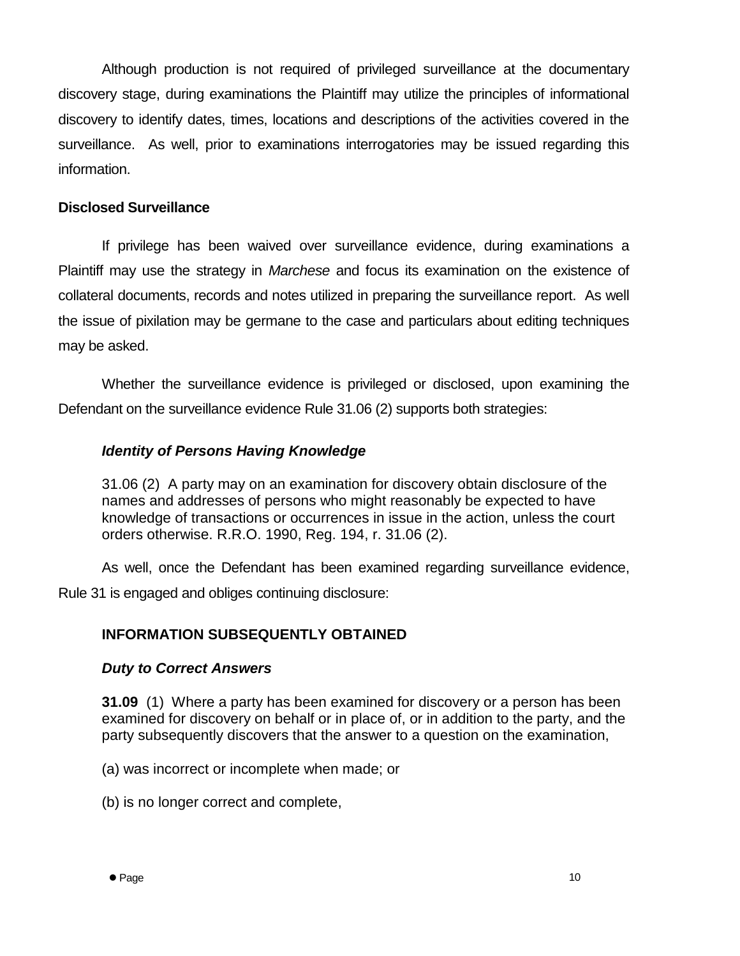Although production is not required of privileged surveillance at the documentary discovery stage, during examinations the Plaintiff may utilize the principles of informational discovery to identify dates, times, locations and descriptions of the activities covered in the surveillance. As well, prior to examinations interrogatories may be issued regarding this information.

### **Disclosed Surveillance**

If privilege has been waived over surveillance evidence, during examinations a Plaintiff may use the strategy in *Marchese* and focus its examination on the existence of collateral documents, records and notes utilized in preparing the surveillance report. As well the issue of pixilation may be germane to the case and particulars about editing techniques may be asked.

Whether the surveillance evidence is privileged or disclosed, upon examining the Defendant on the surveillance evidence Rule 31.06 (2) supports both strategies:

### *Identity of Persons Having Knowledge*

31.06 (2) A party may on an examination for discovery obtain disclosure of the names and addresses of persons who might reasonably be expected to have knowledge of transactions or occurrences in issue in the action, unless the court orders otherwise. R.R.O. 1990, Reg. 194, r. 31.06 (2).

As well, once the Defendant has been examined regarding surveillance evidence, Rule 31 is engaged and obliges continuing disclosure:

### **INFORMATION SUBSEQUENTLY OBTAINED**

#### *Duty to Correct Answers*

**31.09** (1) Where a party has been examined for discovery or a person has been examined for discovery on behalf or in place of, or in addition to the party, and the party subsequently discovers that the answer to a question on the examination,

(a) was incorrect or incomplete when made; or

(b) is no longer correct and complete,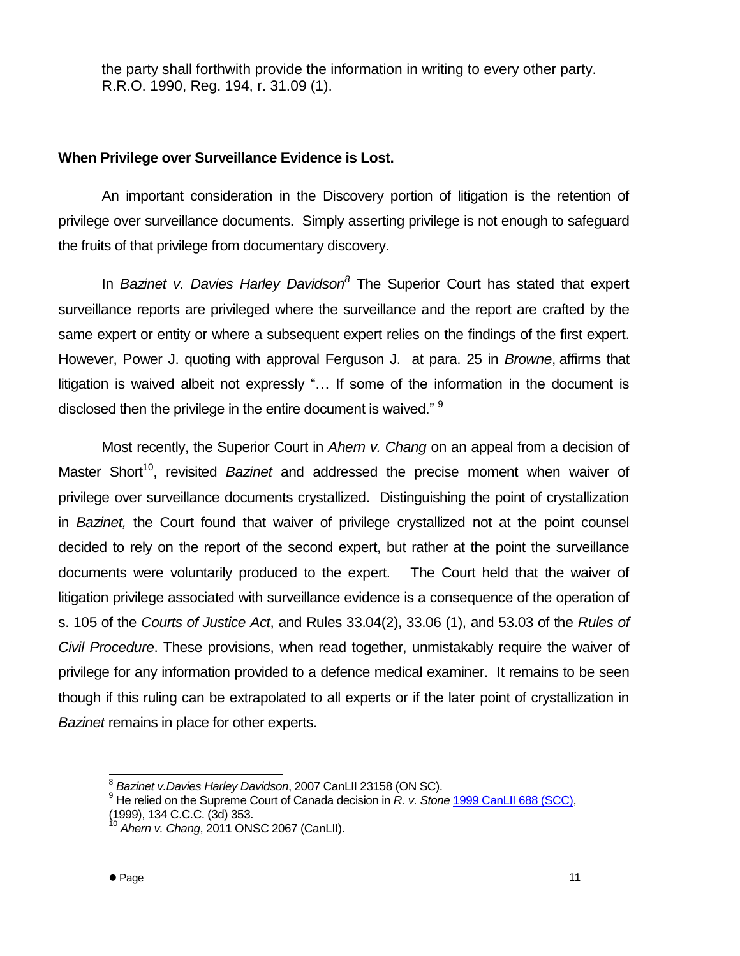the party shall forthwith provide the information in writing to every other party. R.R.O. 1990, Reg. 194, r. 31.09 (1).

### **When Privilege over Surveillance Evidence is Lost.**

An important consideration in the Discovery portion of litigation is the retention of privilege over surveillance documents. Simply asserting privilege is not enough to safeguard the fruits of that privilege from documentary discovery.

In *Bazinet v. Davies Harley Davidson<sup>8</sup>* The Superior Court has stated that expert surveillance reports are privileged where the surveillance and the report are crafted by the same expert or entity or where a subsequent expert relies on the findings of the first expert. However, Power J. quoting with approval Ferguson J. at para. 25 in *Browne*, affirms that litigation is waived albeit not expressly "… If some of the information in the document is disclosed then the privilege in the entire document is waived." <sup>9</sup>

Most recently, the Superior Court in *Ahern v. Chang* on an appeal from a decision of Master Short<sup>10</sup>, revisited *Bazinet* and addressed the precise moment when waiver of privilege over surveillance documents crystallized. Distinguishing the point of crystallization in *Bazinet,* the Court found that waiver of privilege crystallized not at the point counsel decided to rely on the report of the second expert, but rather at the point the surveillance documents were voluntarily produced to the expert. The Court held that the waiver of litigation privilege associated with surveillance evidence is a consequence of the operation of s. 105 of the *Courts of Justice Act*, and Rules 33.04(2), 33.06 (1), and 53.03 of the *Rules of Civil Procedure*. These provisions, when read together, unmistakably require the waiver of privilege for any information provided to a defence medical examiner. It remains to be seen though if this ruling can be extrapolated to all experts or if the later point of crystallization in *Bazinet* remains in place for other experts.

l 8 *Bazinet v.Davies Harley Davidson*, 2007 CanLII 23158 (ON SC).

<sup>9</sup> He relied on the Supreme Court of Canada decision in *R. v. Stone* 1999 CanLII 688 (SCC),

<sup>(1999), 134</sup> C.C.C. (3d) 353. <sup>10</sup> *Ahern v. Chang*, 2011 ONSC 2067 (CanLII).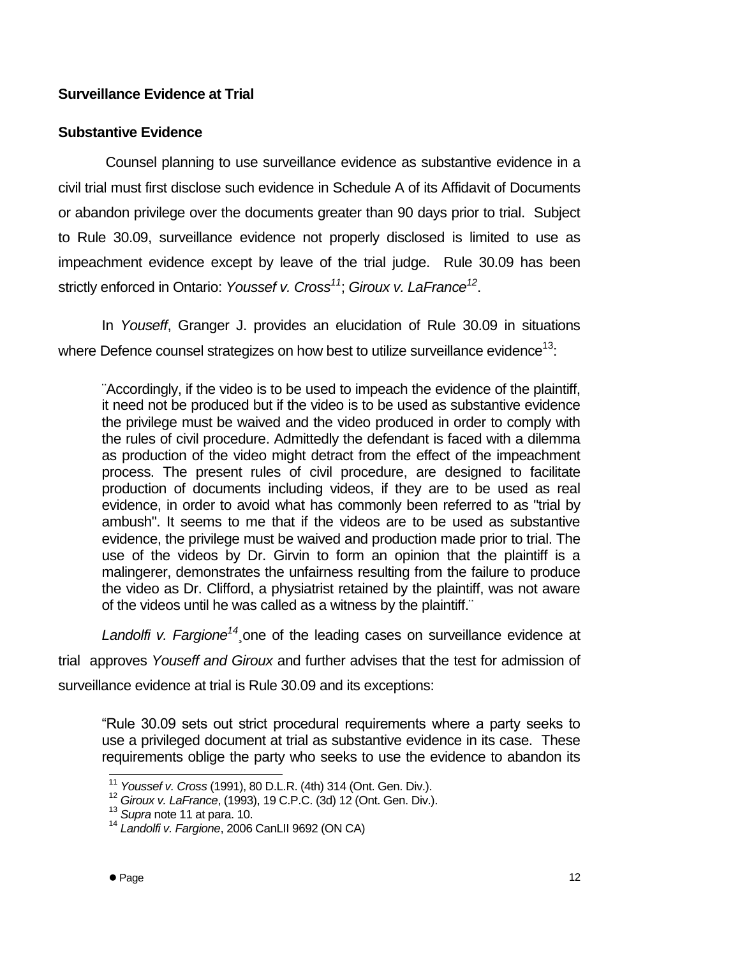# **Surveillance Evidence at Trial**

### **Substantive Evidence**

Counsel planning to use surveillance evidence as substantive evidence in a civil trial must first disclose such evidence in Schedule A of its Affidavit of Documents or abandon privilege over the documents greater than 90 days prior to trial. Subject to Rule 30.09, surveillance evidence not properly disclosed is limited to use as impeachment evidence except by leave of the trial judge. Rule 30.09 has been strictly enforced in Ontario: *Youssef v. Cross<sup>11</sup>*; *Giroux v. LaFrance<sup>12</sup>* .

In *Youseff*, Granger J. provides an elucidation of Rule 30.09 in situations where Defence counsel strategizes on how best to utilize surveillance evidence<sup>13</sup>:

¨Accordingly, if the video is to be used to impeach the evidence of the plaintiff, it need not be produced but if the video is to be used as substantive evidence the privilege must be waived and the video produced in order to comply with the rules of civil procedure. Admittedly the defendant is faced with a dilemma as production of the video might detract from the effect of the impeachment process. The present rules of civil procedure, are designed to facilitate production of documents including videos, if they are to be used as real evidence, in order to avoid what has commonly been referred to as "trial by ambush". It seems to me that if the videos are to be used as substantive evidence, the privilege must be waived and production made prior to trial. The use of the videos by Dr. Girvin to form an opinion that the plaintiff is a malingerer, demonstrates the unfairness resulting from the failure to produce the video as Dr. Clifford, a physiatrist retained by the plaintiff, was not aware of the videos until he was called as a witness by the plaintiff.¨

*Landolfi v. Fargione<sup>14</sup>*¸one of the leading cases on surveillance evidence at

trial approves *Youseff and Giroux* and further advises that the test for admission of

surveillance evidence at trial is Rule 30.09 and its exceptions:

"Rule 30.09 sets out strict procedural requirements where a party seeks to use a privileged document at trial as substantive evidence in its case. These requirements oblige the party who seeks to use the evidence to abandon its

l

<sup>11</sup> *Youssef v. Cross* (1991), 80 D.L.R. (4th) 314 (Ont. Gen. Div.).

<sup>12</sup> *Giroux v. LaFrance*, (1993), 19 C.P.C. (3d) 12 (Ont. Gen. Div.).

<sup>13</sup> *Supra* note 11 at para. 10.

<sup>14</sup> *Landolfi v. Fargione*, 2006 CanLII 9692 (ON CA)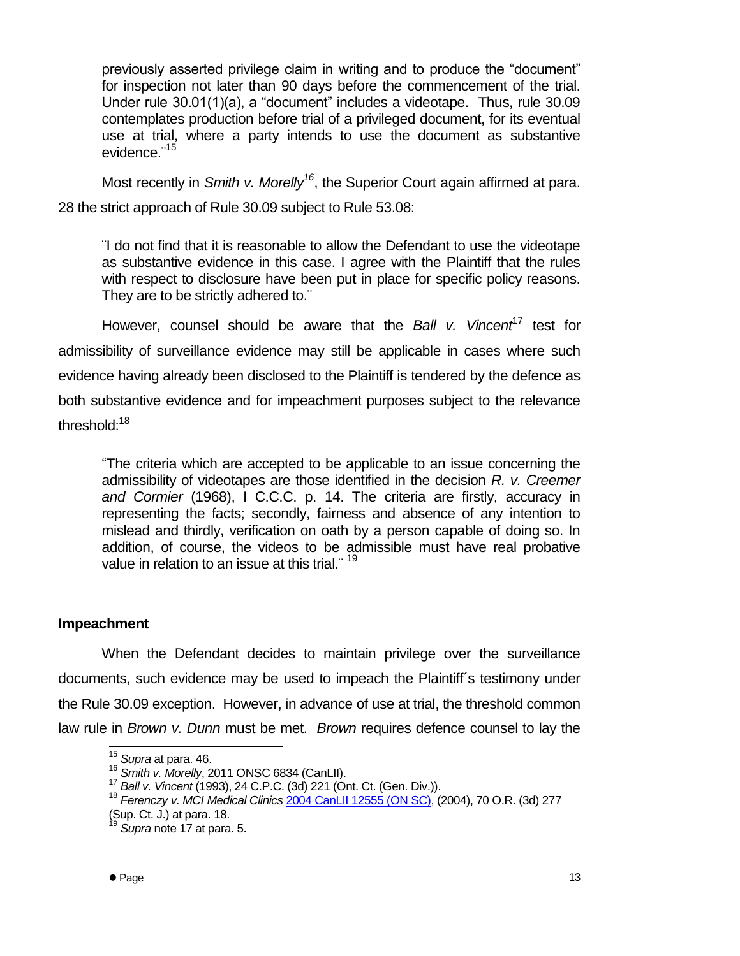previously asserted privilege claim in writing and to produce the "document" for inspection not later than 90 days before the commencement of the trial. Under rule 30.01(1)(a), a "document" includes a videotape. Thus, rule 30.09 contemplates production before trial of a privileged document, for its eventual use at trial, where a party intends to use the document as substantive evidence.<sup>"15</sup>

Most recently in *Smith v. Morelly<sup>16</sup>*, the Superior Court again affirmed at para. 28 the strict approach of Rule 30.09 subject to Rule 53.08:

¨I do not find that it is reasonable to allow the Defendant to use the videotape as substantive evidence in this case. I agree with the Plaintiff that the rules with respect to disclosure have been put in place for specific policy reasons. They are to be strictly adhered to."

However, counsel should be aware that the *Ball v. Vincent<sup>17</sup>* test for admissibility of surveillance evidence may still be applicable in cases where such evidence having already been disclosed to the Plaintiff is tendered by the defence as both substantive evidence and for impeachment purposes subject to the relevance threshold:<sup>18</sup>

"The criteria which are accepted to be applicable to an issue concerning the admissibility of videotapes are those identified in the decision *R. v. Creemer and Cormier* (1968), I C.C.C. p. 14. The criteria are firstly, accuracy in representing the facts; secondly, fairness and absence of any intention to mislead and thirdly, verification on oath by a person capable of doing so. In addition, of course, the videos to be admissible must have real probative value in relation to an issue at this trial.<sup>"19</sup>

### **Impeachment**

When the Defendant decides to maintain privilege over the surveillance documents, such evidence may be used to impeach the Plaintiff´s testimony under the Rule 30.09 exception. However, in advance of use at trial, the threshold common law rule in *Brown v. Dunn* must be met. *Brown* requires defence counsel to lay the

j <sup>15</sup> *Supra* at para. 46.

<sup>16</sup> *Smith v. Morelly*, 2011 ONSC 6834 (CanLII).

<sup>17</sup> *Ball v. Vincent* (1993), 24 C.P.C. (3d) 221 (Ont. Ct. (Gen. Div.)).

<sup>18</sup> *Ferenczy v. MCI Medical Clinics* [2004 CanLII 12555 \(ON SC\),](http://www.canlii.org/en/on/onsc/doc/2004/2004canlii12555/2004canlii12555.html) (2004), 70 O.R. (3d) 277  $(Sup. Ct. J.)$  at para. 18.

Supra note 17 at para. 5.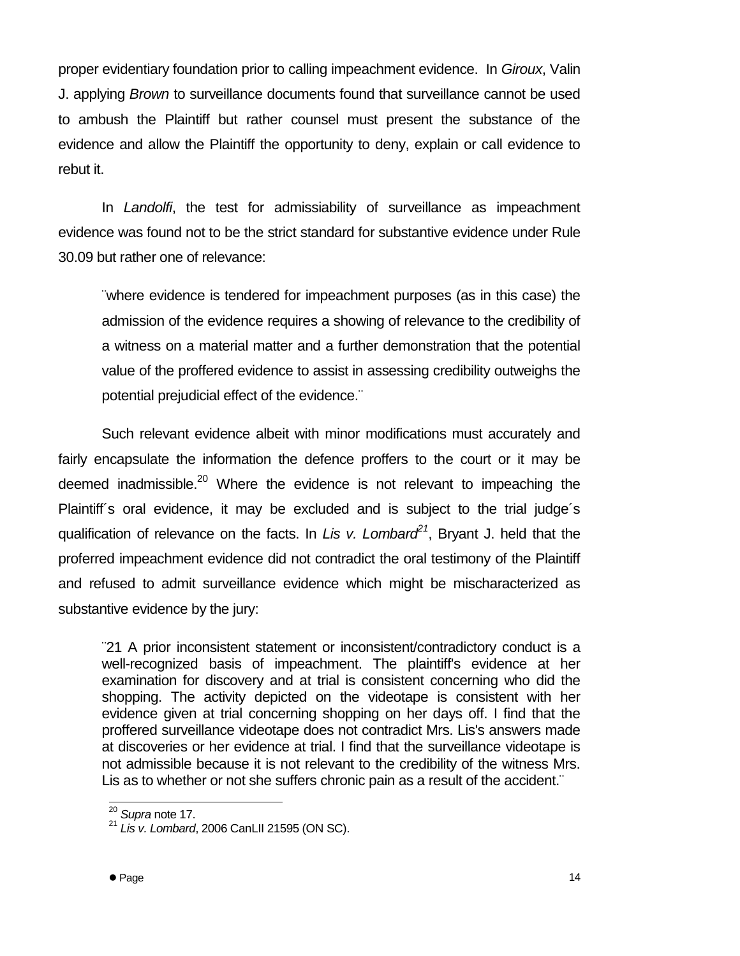proper evidentiary foundation prior to calling impeachment evidence. In *Giroux*, Valin J. applying *Brown* to surveillance documents found that surveillance cannot be used to ambush the Plaintiff but rather counsel must present the substance of the evidence and allow the Plaintiff the opportunity to deny, explain or call evidence to rebut it.

In *Landolfi*, the test for admissiability of surveillance as impeachment evidence was found not to be the strict standard for substantive evidence under Rule 30.09 but rather one of relevance:

¨where evidence is tendered for impeachment purposes (as in this case) the admission of the evidence requires a showing of relevance to the credibility of a witness on a material matter and a further demonstration that the potential value of the proffered evidence to assist in assessing credibility outweighs the potential prejudicial effect of the evidence.¨

Such relevant evidence albeit with minor modifications must accurately and fairly encapsulate the information the defence proffers to the court or it may be deemed inadmissible.<sup>20</sup> Where the evidence is not relevant to impeaching the Plaintiff's oral evidence, it may be excluded and is subject to the trial judge's qualification of relevance on the facts. In *Lis v. Lombard<sup>21</sup>*, Bryant J. held that the proferred impeachment evidence did not contradict the oral testimony of the Plaintiff and refused to admit surveillance evidence which might be mischaracterized as substantive evidence by the jury:

¨21 A prior inconsistent statement or inconsistent/contradictory conduct is a well-recognized basis of impeachment. The plaintiff's evidence at her examination for discovery and at trial is consistent concerning who did the shopping. The activity depicted on the videotape is consistent with her evidence given at trial concerning shopping on her days off. I find that the proffered surveillance videotape does not contradict Mrs. Lis's answers made at discoveries or her evidence at trial. I find that the surveillance videotape is not admissible because it is not relevant to the credibility of the witness Mrs. Lis as to whether or not she suffers chronic pain as a result of the accident."

l

<sup>20</sup> *Supra* note 17.

<sup>21</sup> *Lis v. Lombard*, 2006 CanLII 21595 (ON SC).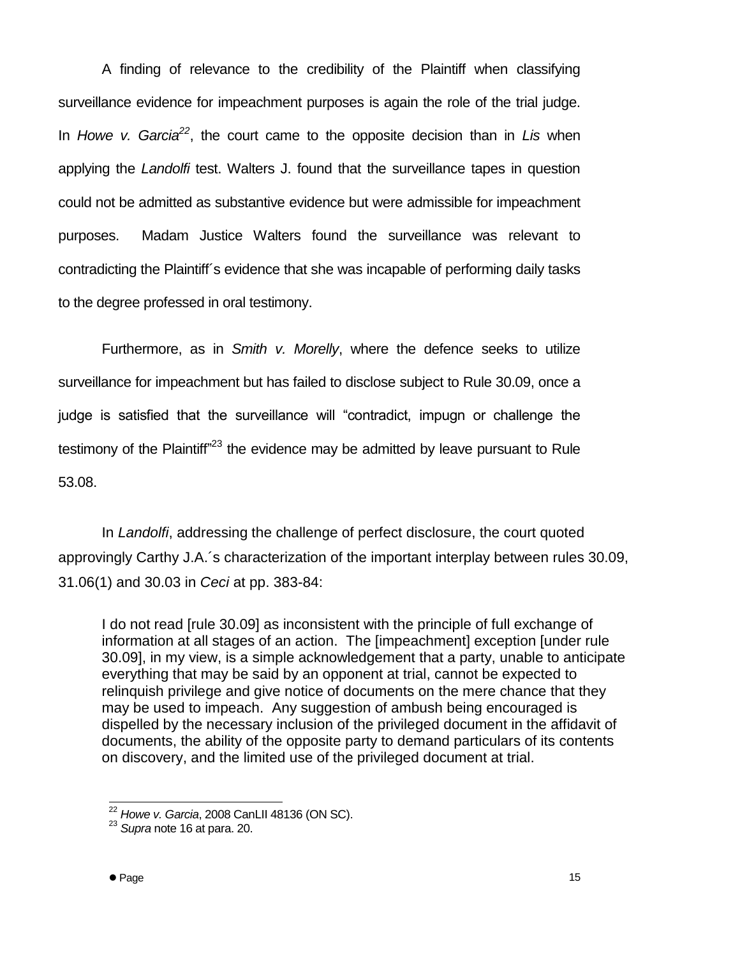A finding of relevance to the credibility of the Plaintiff when classifying surveillance evidence for impeachment purposes is again the role of the trial judge. In *Howe v. Garcia<sup>22</sup>*, the court came to the opposite decision than in *Lis* when applying the *Landolfi* test. Walters J. found that the surveillance tapes in question could not be admitted as substantive evidence but were admissible for impeachment purposes. Madam Justice Walters found the surveillance was relevant to contradicting the Plaintiff´s evidence that she was incapable of performing daily tasks to the degree professed in oral testimony.

Furthermore, as in *Smith v. Morelly*, where the defence seeks to utilize surveillance for impeachment but has failed to disclose subject to Rule 30.09, once a judge is satisfied that the surveillance will "contradict, impugn or challenge the testimony of the Plaintiff"<sup>23</sup> the evidence may be admitted by leave pursuant to Rule 53.08.

In *Landolfi*, addressing the challenge of perfect disclosure, the court quoted approvingly Carthy J.A.´s characterization of the important interplay between rules 30.09, 31.06(1) and 30.03 in *Ceci* at pp. 383-84:

I do not read [rule 30.09] as inconsistent with the principle of full exchange of information at all stages of an action. The [impeachment] exception [under rule 30.09], in my view, is a simple acknowledgement that a party, unable to anticipate everything that may be said by an opponent at trial, cannot be expected to relinquish privilege and give notice of documents on the mere chance that they may be used to impeach. Any suggestion of ambush being encouraged is dispelled by the necessary inclusion of the privileged document in the affidavit of documents, the ability of the opposite party to demand particulars of its contents on discovery, and the limited use of the privileged document at trial.

l

<sup>22</sup> *Howe v. Garcia*, 2008 CanLII 48136 (ON SC).

<sup>23</sup> *Supra* note 16 at para. 20.